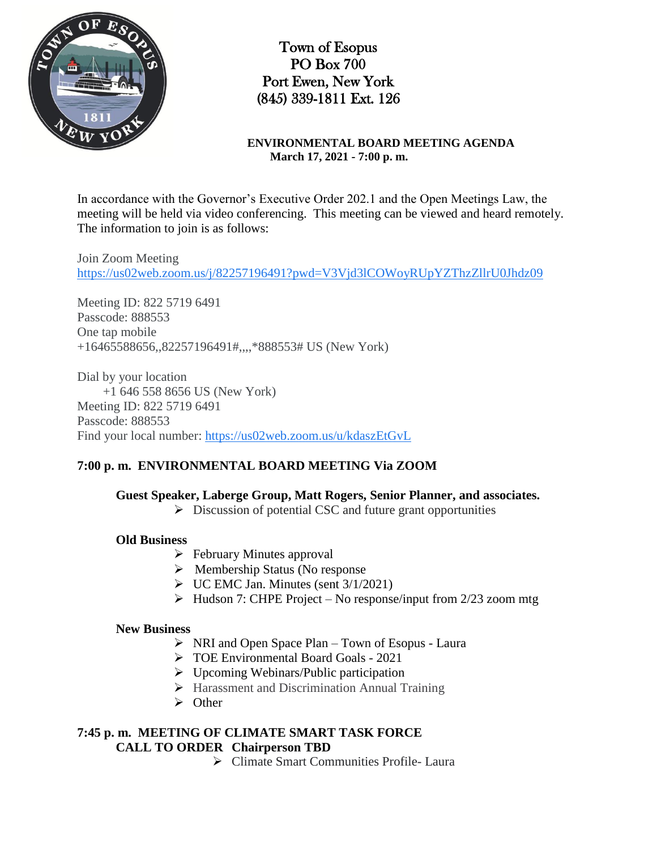

Town of Esopus PO Box 700 Port Ewen, New York (845) 339-1811 Ext. 126

**ENVIRONMENTAL BOARD MEETING AGENDA March 17, 2021 - 7:00 p. m.**

In accordance with the Governor's Executive Order 202.1 and the Open Meetings Law, the meeting will be held via video conferencing. This meeting can be viewed and heard remotely. The information to join is as follows:

Join Zoom Meeting https://us02web.zoom.us/j/82257196491?pwd=V3Vjd3lCOWoyRUpYZThzZllrU0Jhdz09

Meeting ID: 822 5719 6491 Passcode: 888553 One tap mobile +16465588656,,82257196491#,,,,\*888553# US (New York)

Dial by your location +1 646 558 8656 US (New York) Meeting ID: 822 5719 6491 Passcode: 888553 Find your local number: https://us02web.zoom.us/u/kdaszEtGvL

## **7:00 p. m. ENVIRONMENTAL BOARD MEETING Via ZOOM**

**Guest Speaker, Laberge Group, Matt Rogers, Senior Planner, and associates.**

 $\triangleright$  Discussion of potential CSC and future grant opportunities

#### **Old Business**

- $\triangleright$  February Minutes approval
- $\triangleright$  Membership Status (No response
- $\triangleright$  UC EMC Jan. Minutes (sent 3/1/2021)
- $\triangleright$  Hudson 7: CHPE Project No response/input from 2/23 zoom mtg

#### **New Business**

- $\triangleright$  NRI and Open Space Plan Town of Esopus Laura
- TOE Environmental Board Goals 2021
- $\triangleright$  Upcoming Webinars/Public participation
- Harassment and Discrimination Annual Training
- $\triangleright$  Other

### **7:45 p. m. MEETING OF CLIMATE SMART TASK FORCE CALL TO ORDER Chairperson TBD**

Climate Smart Communities Profile- Laura